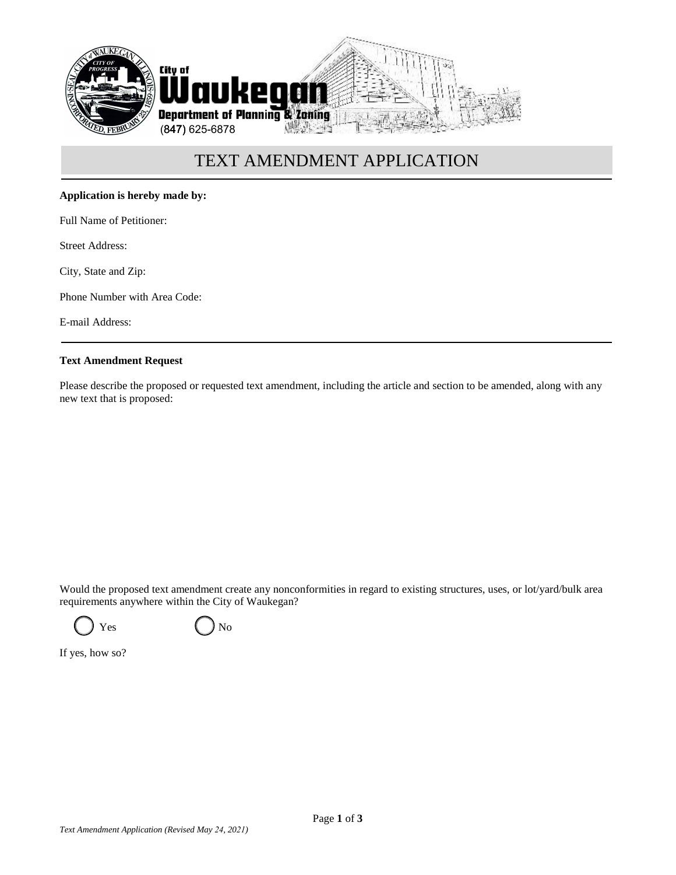

# TEXT AMENDMENT APPLICATION

### **Application is hereby made by:**

Full Name of Petitioner:

Street Address:

City, State and Zip:

Phone Number with Area Code:

E-mail Address:

#### **Text Amendment Request**

Please describe the proposed or requested text amendment, including the article and section to be amended, along with any new text that is proposed:

Would the proposed text amendment create any nonconformities in regard to existing structures, uses, or lot/yard/bulk area requirements anywhere within the City of Waukegan?

 $Yes$  ( )  $No$ 

If yes, how so?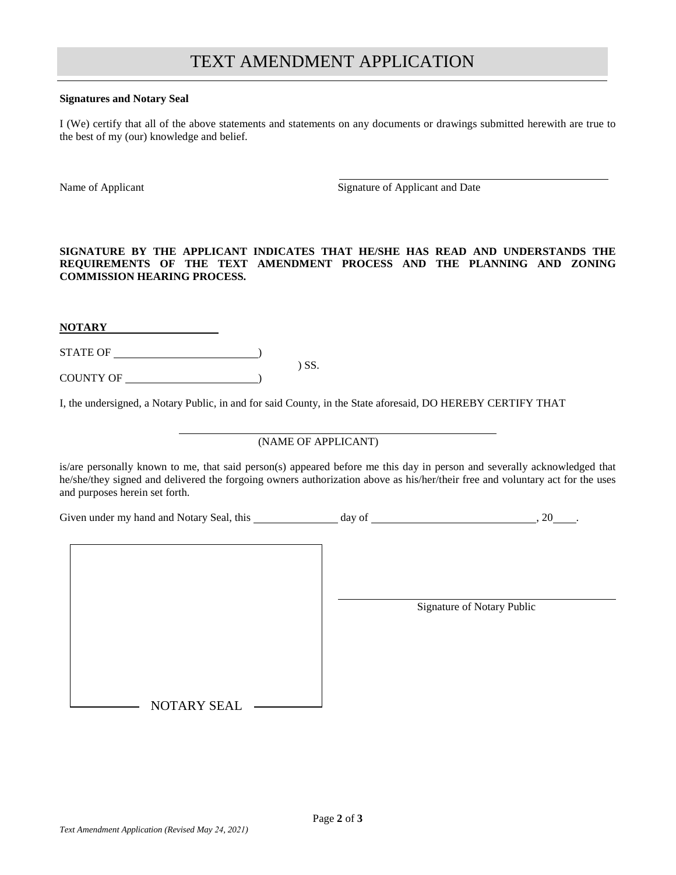## TEXT AMENDMENT APPLICATION

#### **Signatures and Notary Seal**

I (We) certify that all of the above statements and statements on any documents or drawings submitted herewith are true to the best of my (our) knowledge and belief.

Name of Applicant Signature of Applicant and Date

**SIGNATURE BY THE APPLICANT INDICATES THAT HE/SHE HAS READ AND UNDERSTANDS THE REQUIREMENTS OF THE TEXT AMENDMENT PROCESS AND THE PLANNING AND ZONING COMMISSION HEARING PROCESS.**

**NOTARY** 

STATE OF ) ) SS.

COUNTY OF )

I, the undersigned, a Notary Public, in and for said County, in the State aforesaid, DO HEREBY CERTIFY THAT

## (NAME OF APPLICANT)

is/are personally known to me, that said person(s) appeared before me this day in person and severally acknowledged that he/she/they signed and delivered the forgoing owners authorization above as his/her/their free and voluntary act for the uses and purposes herein set forth.

Given under my hand and Notary Seal, this day of  $\frac{1}{2}$  day of  $\frac{1}{2}$ , 20  $\frac{1}{2}$ 

NOTARY SEAL

Signature of Notary Public